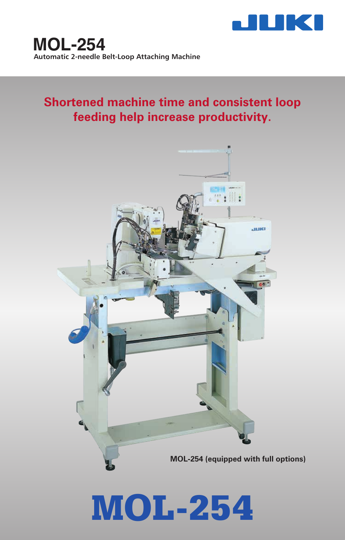

# **Shortened machine time and consistent loop feeding help increase productivity.**



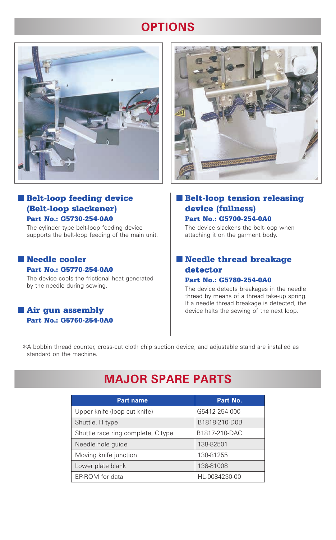# **OPTIONS**





### ■ Belt-loop feeding device (Belt-loop slackener) Part No.: G5730-254-0A0

The cylinder type belt-loop feeding device supports the belt-loop feeding of the main unit.

### ■ Needle cooler Part No.: G5770-254-0A0

The device cools the frictional heat generated by the needle during sewing.

### ■ Air gun assembly Part No.: G5760-254-0A0

### ■ Belt-loop tension releasing device (fullness) Part No.: G5700-254-0A0

The device slackens the belt-loop when attaching it on the garment body.

### ■ Needle thread breakage detector

### Part No.: G5780-254-0A0

The device detects breakages in the needle thread by means of a thread take-up spring. If a needle thread breakage is detected, the device halts the sewing of the next loop.

\*A bobbin thread counter, cross-cut cloth chip suction device, and adjustable stand are installed as standard on the machine.

## **MAJOR SPARE PARTS**

| <b>Part name</b>                   | Part No.      |
|------------------------------------|---------------|
| Upper knife (loop cut knife)       | G5412-254-000 |
| Shuttle, H type                    | B1818-210-D0B |
| Shuttle race ring complete, C type | B1817-210-DAC |
| Needle hole guide                  | 138-82501     |
| Moving knife junction              | 138-81255     |
| Lower plate blank                  | 138-81008     |
| EP-ROM for data                    | HL-0084230-00 |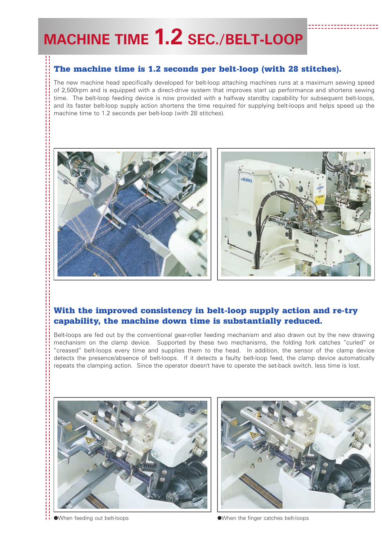# **MACHINE TIME 1.2 SEC./BELT-LOOP**

### The machine time is 1.2 seconds per belt-loop (with 28 stitches).

The new machine head specifically developed for belt-loop attaching machines runs at a maximum sewing speed of 2,500rpm and is equipped with a direct-drive system that improves start up performance and shortens sewing time. The belt-loop feeding device is now provided with a halfway standby capability for subsequent belt-loops, and its faster belt-loop supply action shortens the time required for supplying belt-loops and helps speed up the machine time to 1.2 seconds per belt-loop (with 28 stitches).



### With the improved consistency in belt-loop supply action and re-try capability, the machine down time is substantially reduced.

Belt-loops are fed out by the conventional gear-roller feeding mechanism and also drawn out by the new drawing mechanism on the clamp device. Supported by these two mechanisms, the folding fork catches "curled" or "creased" belt-loops every time and supplies them to the head. In addition, the sensor of the clamp device detects the presence/absence of belt-loops. If it detects a faulty belt-loop feed, the clamp device automatically repeats the clamping action. Since the operator doesn't have to operate the set-back switch, less time is lost.





●When feeding out belt-loops and the settlement of the finger catches belt-loops and the finger catches belt-loops and the finger catches belt-loops and the finger catches belt-loops and the settlement of the settlement o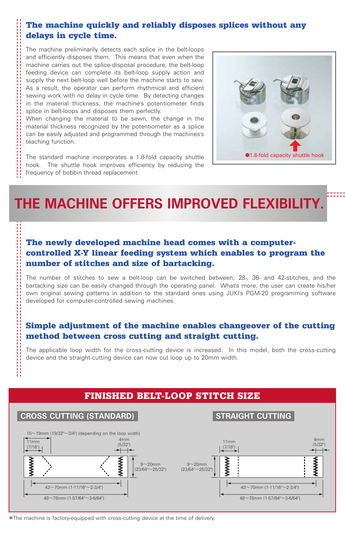### The machine quickly and reliably disposes splices without any delays in cycle time.

The machine preliminarily detects each splice in the belt-loops and efficiently disposes them. This means that even when the machine carries out the splice-disposal procedure, the belt-loop feeding device can complete its belt-loop supply action and supply the next belt-loop well before the machine starts to sew. As a result, the operator can perform rhythmical and efficient sewing work with no delay in cycle time. By detecting changes in the material thickness, the machine's potentiometer finds splice in belt-loops and disposes them perfectly.

When changing the material to be sewn, the change in the material thickness recognized by the potentiometer as a splice can be easily adjusted and programmed through the machines's teaching function.

The standard machine incorporates a 1.8-fold capacity shuttle hook. The shuttle hook improves efficiency by reducing the frequency of bobbin thread replacement.



# **THE MACHINE OFFERS IMPROVED FLEXIBILITY.**

### The newly developed machine head comes with a computercontrolled X-Y linear feeding system which enables to program the number of stitches and size of bartacking.

The number of stitches to sew a belt-loop can be switched between; 28-, 36- and 42-stitches, and the bartacking size can be easily changed through the operating panel. What's more, the user can create his/her own original sewing patterns in addition to the standard ones using JUKI's PGM-20 programming software developed for computer-controlled sewing machines.

### Simple adjustment of the machine enables changeover of the cutting method between cross cutting and straight cutting.

The applicable loop width for the cross-cutting device is increased. In this model, both the cross-cutting device and the straight-cutting device can now cut loop up to 20mm width.

### FINISHED BELT-LOOP STITCH SIZE





\*The machine is factory-equipped with cross-cutting device at the time of delivery.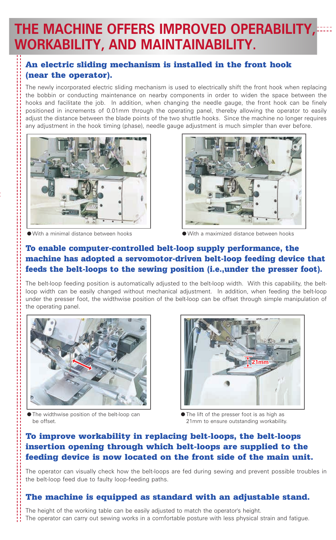# **THE MACHINE OFFERS IMPROVED OPERABILITY, WORKABILITY, AND MAINTAINABILITY.**

### An electric sliding mechanism is installed in the front hook (near the operator).

The newly incorporated electric sliding mechanism is used to electrically shift the front hook when replacing the bobbin or conducting maintenance on nearby components in order to widen the space between the hooks and facilitate the job. In addition, when changing the needle gauge, the front hook can be finely positioned in increments of 0.01mm through the operating panel, thereby allowing the operator to easily adjust the distance between the blade points of the two shuttle hooks. Since the machine no longer requires any adjustment in the hook timing (phase), needle gauge adjustment is much simpler than ever before.



● With a minimal distance between hooks



● With a maximized distance between hooks

### To enable computer-controlled belt-loop supply performance, the machine has adopted a servomotor-driven belt-loop feeding device that feeds the belt-loops to the sewing position (i.e.,under the presser foot).

The belt-loop feeding position is automatically adjusted to the belt-loop width. With this capability, the beltloop width can be easily changed without mechanical adjustment. In addition, when feeding the belt-loop under the presser foot, the widthwise position of the belt-loop can be offset through simple manipulation of the operating panel.



● The widthwise position of the belt-loop can be offset.



● The lift of the presser foot is as high as 21mm to ensure outstanding workability.

### To improve workability in replacing belt-loops, the belt-loops insertion opening through which belt-loops are supplied to the feeding device is now located on the front side of the main unit.

The operator can visually check how the belt-loops are fed during sewing and prevent possible troubles in the belt-loop feed due to faulty loop-feeding paths.

### The machine is equipped as standard with an adjustable stand.

The height of the working table can be easily adjusted to match the operator's height. The operator can carry out sewing works in a comfortable posture with less physical strain and fatigue.